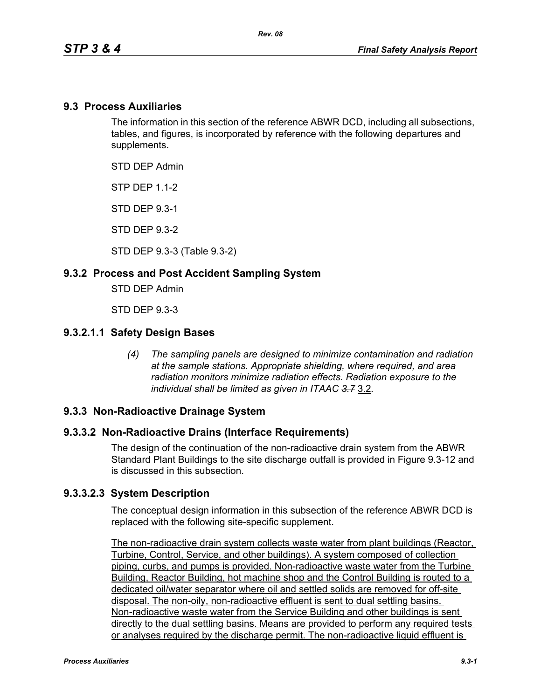#### **9.3 Process Auxiliaries**

The information in this section of the reference ABWR DCD, including all subsections, tables, and figures, is incorporated by reference with the following departures and supplements.

STD DEP Admin

**STP DFP 1 1-2** 

STD DEP 9.3-1

STD DEP 9.3-2

STD DEP 9.3-3 (Table 9.3-2)

#### **9.3.2 Process and Post Accident Sampling System**

STD DEP Admin

STD DEP 9.3-3

#### **9.3.2.1.1 Safety Design Bases**

*(4) The sampling panels are designed to minimize contamination and radiation at the sample stations. Appropriate shielding, where required, and area radiation monitors minimize radiation effects. Radiation exposure to the individual shall be limited as given in ITAAC 3.7* 3.2*.*

#### **9.3.3 Non-Radioactive Drainage System**

#### **9.3.3.2 Non-Radioactive Drains (Interface Requirements)**

The design of the continuation of the non-radioactive drain system from the ABWR Standard Plant Buildings to the site discharge outfall is provided in Figure 9.3-12 and is discussed in this subsection.

#### **9.3.3.2.3 System Description**

The conceptual design information in this subsection of the reference ABWR DCD is replaced with the following site-specific supplement.

The non-radioactive drain system collects waste water from plant buildings (Reactor, Turbine, Control, Service, and other buildings). A system composed of collection piping, curbs, and pumps is provided. Non-radioactive waste water from the Turbine Building, Reactor Building, hot machine shop and the Control Building is routed to a dedicated oil/water separator where oil and settled solids are removed for off-site disposal. The non-oily, non-radioactive effluent is sent to dual settling basins. Non-radioactive waste water from the Service Building and other buildings is sent directly to the dual settling basins. Means are provided to perform any required tests or analyses required by the discharge permit. The non-radioactive liquid effluent is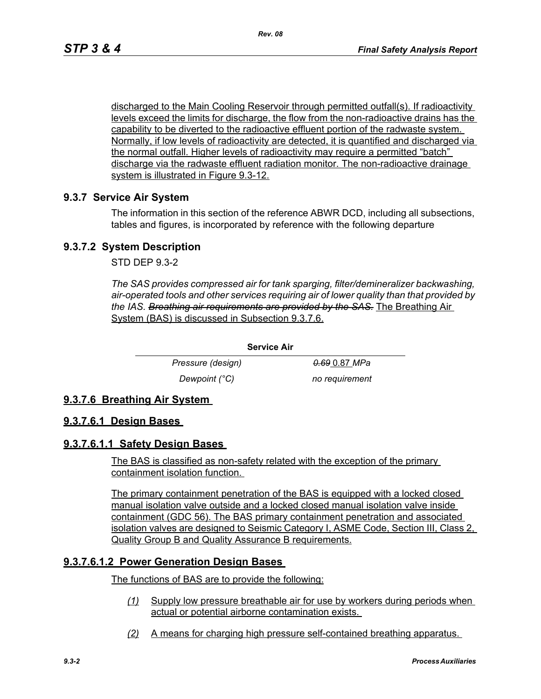discharged to the Main Cooling Reservoir through permitted outfall(s). If radioactivity levels exceed the limits for discharge, the flow from the non-radioactive drains has the capability to be diverted to the radioactive effluent portion of the radwaste system. Normally, if low levels of radioactivity are detected, it is quantified and discharged via the normal outfall. Higher levels of radioactivity may require a permitted "batch" discharge via the radwaste effluent radiation monitor. The non-radioactive drainage system is illustrated in Figure 9.3-12.

#### **9.3.7 Service Air System**

The information in this section of the reference ABWR DCD, including all subsections, tables and figures, is incorporated by reference with the following departure

#### **9.3.7.2 System Description**

STD DEP 9.3-2

*The SAS provides compressed air for tank sparging, filter/demineralizer backwashing, air-operated tools and other services requiring air of lower quality than that provided by the IAS. Breathing air requirements are provided by the SAS.* The Breathing Air System (BAS) is discussed in Subsection 9.3.7.6.

> *Pressure (design) 0.69* 0.87 *MPa Dewpoint (°C)* no requirement

#### **9.3.7.6 Breathing Air System**

#### **9.3.7.6.1 Design Bases**

#### **9.3.7.6.1.1 Safety Design Bases**

The BAS is classified as non-safety related with the exception of the primary containment isolation function.

**Service Air**

The primary containment penetration of the BAS is equipped with a locked closed manual isolation valve outside and a locked closed manual isolation valve inside containment (GDC 56). The BAS primary containment penetration and associated isolation valves are designed to Seismic Category I, ASME Code, Section III, Class 2, Quality Group B and Quality Assurance B requirements.

#### **9.3.7.6.1.2 Power Generation Design Bases**

The functions of BAS are to provide the following:

- *(1)* Supply low pressure breathable air for use by workers during periods when actual or potential airborne contamination exists.
- *(2)* A means for charging high pressure self-contained breathing apparatus.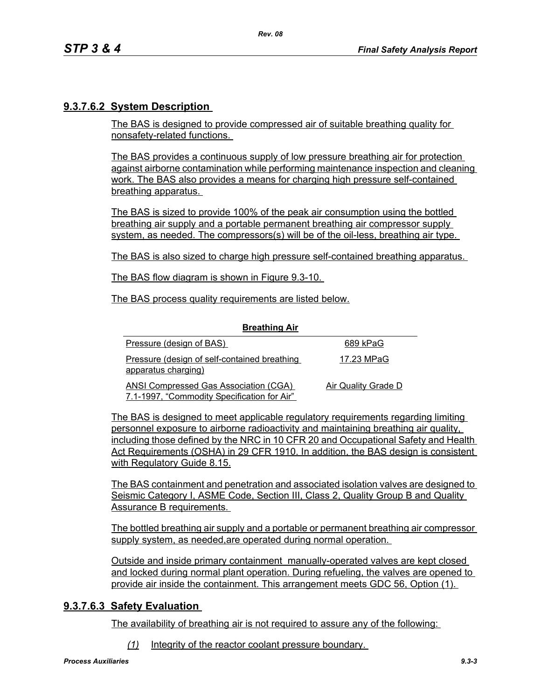# **9.3.7.6.2 System Description**

The BAS is designed to provide compressed air of suitable breathing quality for nonsafety-related functions.

The BAS provides a continuous supply of low pressure breathing air for protection against airborne contamination while performing maintenance inspection and cleaning work. The BAS also provides a means for charging high pressure self-contained breathing apparatus.

The BAS is sized to provide 100% of the peak air consumption using the bottled breathing air supply and a portable permanent breathing air compressor supply system, as needed. The compressors(s) will be of the oil-less, breathing air type.

The BAS is also sized to charge high pressure self-contained breathing apparatus.

The BAS flow diagram is shown in Figure 9.3-10.

The BAS process quality requirements are listed below.

| <b>Breathing Air</b>                                                                        |                     |
|---------------------------------------------------------------------------------------------|---------------------|
| Pressure (design of BAS)                                                                    | 689 kPaG            |
| Pressure (design of self-contained breathing<br>apparatus charging)                         | 17.23 MPaG          |
| <b>ANSI Compressed Gas Association (CGA)</b><br>7.1-1997, "Commodity Specification for Air" | Air Quality Grade D |

**Breathing Air**

The BAS is designed to meet applicable regulatory requirements regarding limiting personnel exposure to airborne radioactivity and maintaining breathing air quality, including those defined by the NRC in 10 CFR 20 and Occupational Safety and Health Act Requirements (OSHA) in 29 CFR 1910. In addition, the BAS design is consistent with Regulatory Guide 8.15.

The BAS containment and penetration and associated isolation valves are designed to Seismic Category I, ASME Code, Section III, Class 2, Quality Group B and Quality Assurance B requirements.

The bottled breathing air supply and a portable or permanent breathing air compressor supply system, as needed,are operated during normal operation.

Outside and inside primary containment manually-operated valves are kept closed and locked during normal plant operation. During refueling, the valves are opened to provide air inside the containment. This arrangement meets GDC 56, Option (1).

## **9.3.7.6.3 Safety Evaluation**

The availability of breathing air is not required to assure any of the following:

*(1)* Integrity of the reactor coolant pressure boundary.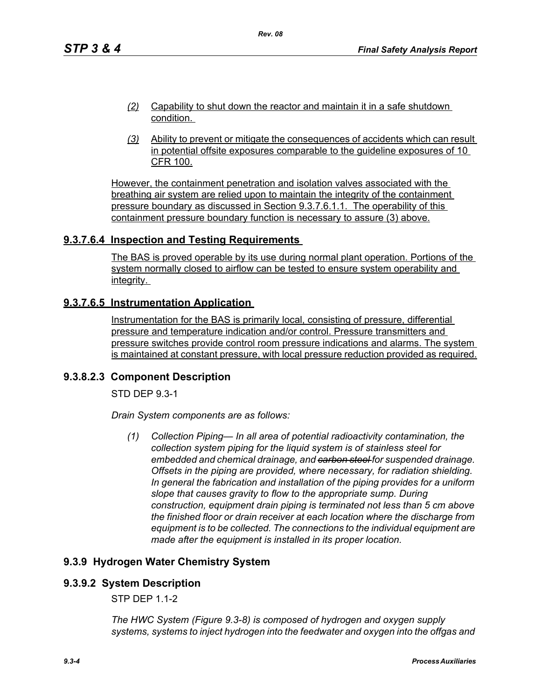- *(2)* Capability to shut down the reactor and maintain it in a safe shutdown condition.
- *(3)* Ability to prevent or mitigate the consequences of accidents which can result in potential offsite exposures comparable to the guideline exposures of 10 CFR 100.

However, the containment penetration and isolation valves associated with the breathing air system are relied upon to maintain the integrity of the containment pressure boundary as discussed in Section 9.3.7.6.1.1. The operability of this containment pressure boundary function is necessary to assure (3) above.

# **9.3.7.6.4 Inspection and Testing Requirements**

The BAS is proved operable by its use during normal plant operation. Portions of the system normally closed to airflow can be tested to ensure system operability and integrity.

# **9.3.7.6.5 Instrumentation Application**

Instrumentation for the BAS is primarily local, consisting of pressure, differential pressure and temperature indication and/or control. Pressure transmitters and pressure switches provide control room pressure indications and alarms. The system is maintained at constant pressure, with local pressure reduction provided as required.

## **9.3.8.2.3 Component Description**

STD DEP 9.3-1

*Drain System components are as follows:*

*(1) Collection Piping— In all area of potential radioactivity contamination, the collection system piping for the liquid system is of stainless steel for embedded and chemical drainage, and carbon steel for suspended drainage. Offsets in the piping are provided, where necessary, for radiation shielding. In general the fabrication and installation of the piping provides for a uniform slope that causes gravity to flow to the appropriate sump. During construction, equipment drain piping is terminated not less than 5 cm above the finished floor or drain receiver at each location where the discharge from equipment is to be collected. The connections to the individual equipment are made after the equipment is installed in its proper location.*

# **9.3.9 Hydrogen Water Chemistry System**

## **9.3.9.2 System Description**

STP DEP 1.1-2

*The HWC System (Figure 9.3-8) is composed of hydrogen and oxygen supply systems, systems to inject hydrogen into the feedwater and oxygen into the offgas and*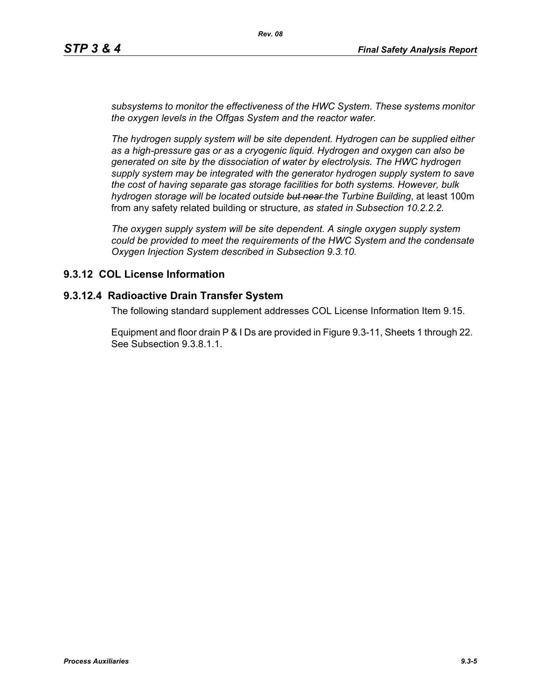*subsystems to monitor the effectiveness of the HWC System. These systems monitor the oxygen levels in the Offgas System and the reactor water.*

*The hydrogen supply system will be site dependent. Hydrogen can be supplied either as a high-pressure gas or as a cryogenic liquid. Hydrogen and oxygen can also be generated on site by the dissociation of water by electrolysis. The HWC hydrogen supply system may be integrated with the generator hydrogen supply system to save the cost of having separate gas storage facilities for both systems. However, bulk hydrogen storage will be located outside but near the Turbine Building*, at least 100m from any safety related building or structure, *as stated in Subsection 10.2.2.2.*

*The oxygen supply system will be site dependent. A single oxygen supply system could be provided to meet the requirements of the HWC System and the condensate Oxygen Injection System described in Subsection 9.3.10.*

# **9.3.12 COL License Information**

## **9.3.12.4 Radioactive Drain Transfer System**

The following standard supplement addresses COL License Information Item 9.15.

Equipment and floor drain P & I Ds are provided in Figure 9.3-11, Sheets 1 through 22. See Subsection 9.3.8.1.1.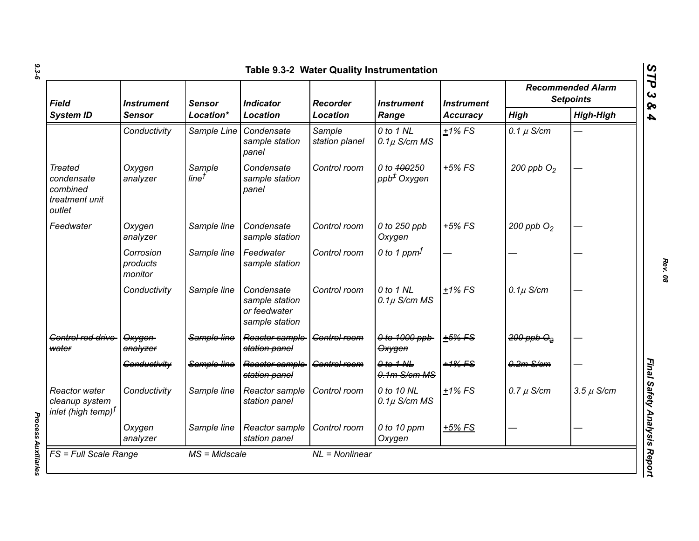| Field<br><b>System ID</b>                                            | <i><b>Instrument</b></i><br>Sensor | <b>Sensor</b>               | <b>Indicator</b><br><b>Location</b>                            | <b>Recorder</b><br><b>Location</b> | <i><b>Instrument</b></i><br>Range      | <b>Instrument</b><br><b>Accuracy</b> | <b>Recommended Alarm</b><br><b>Setpoints</b> |                  |
|----------------------------------------------------------------------|------------------------------------|-----------------------------|----------------------------------------------------------------|------------------------------------|----------------------------------------|--------------------------------------|----------------------------------------------|------------------|
|                                                                      |                                    | Location*                   |                                                                |                                    |                                        |                                      | <b>High</b>                                  | <b>High-High</b> |
|                                                                      | Conductivity                       | Sample Line                 | Condensate<br>sample station<br>panel                          | Sample<br>station planel           | 0 to 1 NL<br>$0.1\mu$ S/cm MS          | $+1\%$ FS                            | 0.1 $\mu$ S/cm                               |                  |
| <b>Treated</b><br>condensate<br>combined<br>treatment unit<br>outlet | Oxygen<br>analyzer                 | Sample<br>line <sup>†</sup> | Condensate<br>sample station<br>panel                          | Control room                       | 0 to 400250<br>ppb <sup>+</sup> Oxygen | $+5%$ FS                             | 200 ppb $O2$                                 |                  |
| Feedwater                                                            | Oxygen<br>analyzer                 | Sample line                 | Condensate<br>sample station                                   | Control room                       | 0 to 250 ppb<br>Oxygen                 | $+5\%$ FS                            | 200 ppb $O2$                                 |                  |
|                                                                      | Corrosion<br>products<br>monitor   | Sample line                 | Feedwater<br>sample station                                    | Control room                       | 0 to 1 ppm $f$                         |                                      |                                              |                  |
|                                                                      | Conductivity                       | Sample line                 | Condensate<br>sample station<br>or feedwater<br>sample station | Control room                       | 0 to 1 NL<br>$0.1\mu$ S/cm MS          | $+1\%$ FS                            | $0.1\mu$ S/cm                                |                  |
| Gentrel red drive<br>water                                           | Oxygen<br>analyzer                 | Sample line                 | Reactor sample<br>station panel                                | Control room                       | 0 to 1000 ppb<br>Oxygen                | $+5%$ FS                             | $200$ ppb $\Theta_2$                         |                  |
|                                                                      | Conductivity                       | Sample line                 | Reactor sample<br>station panel                                | Control room                       | $0$ to $1$ NL<br>$0.1m$ S/cm MS        | $+1\%$ FS                            | $0.2m-S/cm$                                  |                  |
| Reactor water<br>cleanup system<br>$ $ inlet (high temp) $^f$        | Conductivity                       | Sample line                 | Reactor sample<br>station panel                                | Control room                       | 0 to 10 NL<br>$0.1\mu$ S/cm MS         | $+1\%$ FS                            | $0.7 \mu$ S/cm                               | $3.5 \mu$ S/cm   |
|                                                                      | Oxygen<br>analyzer                 | Sample line                 | Reactor sample<br>station panel                                | Control room                       | 0 to 10 ppm<br>Oxygen                  | $+5%$ FS                             |                                              |                  |

**Process Auxiliaries** *Process Auxiliaries* 

*Rev. 08*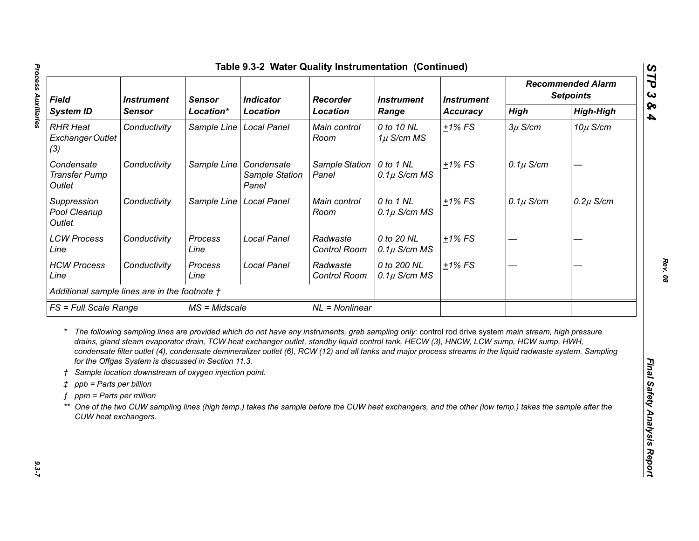| <b>Field</b><br><b>System ID</b>                                                      |                                                                                                              | <b>Instrument</b><br><b>Sensor</b><br>Location* | <b>Indicator</b><br><b>Location</b>                                                                                                                                                                                                                                                                                                                                                                                                                                                                                                                                                                                   |                          | <b>Recorder</b><br><b>Instrument</b><br>Range | <b>Instrument</b><br>Accuracy | <b>Recommended Alarm</b><br><b>Setpoints</b> |                  |
|---------------------------------------------------------------------------------------|--------------------------------------------------------------------------------------------------------------|-------------------------------------------------|-----------------------------------------------------------------------------------------------------------------------------------------------------------------------------------------------------------------------------------------------------------------------------------------------------------------------------------------------------------------------------------------------------------------------------------------------------------------------------------------------------------------------------------------------------------------------------------------------------------------------|--------------------------|-----------------------------------------------|-------------------------------|----------------------------------------------|------------------|
|                                                                                       | <b>Sensor</b>                                                                                                |                                                 |                                                                                                                                                                                                                                                                                                                                                                                                                                                                                                                                                                                                                       | <b>Location</b>          |                                               |                               | <b>High</b>                                  | <b>High-High</b> |
| <b>RHR Heat</b><br><b>Exchanger Outlet</b><br>(3)                                     | Conductivity                                                                                                 | Sample Line                                     | <b>Local Panel</b>                                                                                                                                                                                                                                                                                                                                                                                                                                                                                                                                                                                                    | Main control<br>Room     | 0 to 10 NL<br>$1\mu$ S/cm MS                  | $+1\%$ FS                     | $3\mu$ S/cm                                  | $10\mu$ S/cm     |
| Condensate<br><b>Transfer Pump</b><br>Outlet                                          | Conductivity                                                                                                 | Sample Line   Condensate                        | Sample Station<br>Panel                                                                                                                                                                                                                                                                                                                                                                                                                                                                                                                                                                                               | Sample Station<br>Panel  | 0 to 1 NL<br>$0.1\mu$ S/cm MS                 | $+1\%$ FS                     | $0.1\mu$ S/cm                                |                  |
| Suppression<br>Pool Cleanup<br>Outlet                                                 | Conductivity                                                                                                 | Sample Line                                     | <b>Local Panel</b>                                                                                                                                                                                                                                                                                                                                                                                                                                                                                                                                                                                                    | Main control<br>Room     | 0 to 1 NL<br>$0.1\mu$ S/cm MS                 | $+1\%$ FS                     | $0.1\mu$ S/cm                                | $0.2\mu$ S/cm    |
| <b>LCW Process</b><br>Line                                                            | Conductivity                                                                                                 | Process<br>Line                                 | <b>Local Panel</b>                                                                                                                                                                                                                                                                                                                                                                                                                                                                                                                                                                                                    | Radwaste<br>Control Room | 0 to 20 NL<br>$0.1\mu$ S/cm MS                | $±1\%$ FS                     |                                              |                  |
| <b>HCW Process</b><br>Line                                                            | Conductivity                                                                                                 | Process<br>Line                                 | <b>Local Panel</b>                                                                                                                                                                                                                                                                                                                                                                                                                                                                                                                                                                                                    | Radwaste<br>Control Room | 0 to 200 NL<br>$0.1\mu$ S/cm MS               | $±1\%$ FS                     |                                              |                  |
| Additional sample lines are in the footnote †                                         |                                                                                                              |                                                 |                                                                                                                                                                                                                                                                                                                                                                                                                                                                                                                                                                                                                       |                          |                                               |                               |                                              |                  |
|                                                                                       | FS = Full Scale Range<br>$MS = Midscale$                                                                     |                                                 | $NL = Nonlinear$                                                                                                                                                                                                                                                                                                                                                                                                                                                                                                                                                                                                      |                          |                                               |                               |                                              |                  |
| $\uparrow$ ppb = Parts per billion<br>ppm = Parts per million<br>CUW heat exchangers. | for the Offgas System is discussed in Section 11.3.<br>Sample location downstream of oxygen injection point. |                                                 | The following sampling lines are provided which do not have any instruments, grab sampling only: control rod drive system main stream, high pressure<br>drains, gland steam evaporator drain, TCW heat exchanger outlet, standby liquid control tank, HECW (3), HNCW, LCW sump, HCW sump, HWH,<br>condensate filter outlet (4), condensate demineralizer outlet (6), RCW (12) and all tanks and major process streams in the liquid radwaste system. Sampling<br>One of the two CUW sampling lines (high temp.) takes the sample before the CUW heat exchangers, and the other (low temp.) takes the sample after the |                          |                                               |                               |                                              |                  |

 $9.3 - 7$ 

Process Auxiliaries *Process Auxiliaries 9.3-7*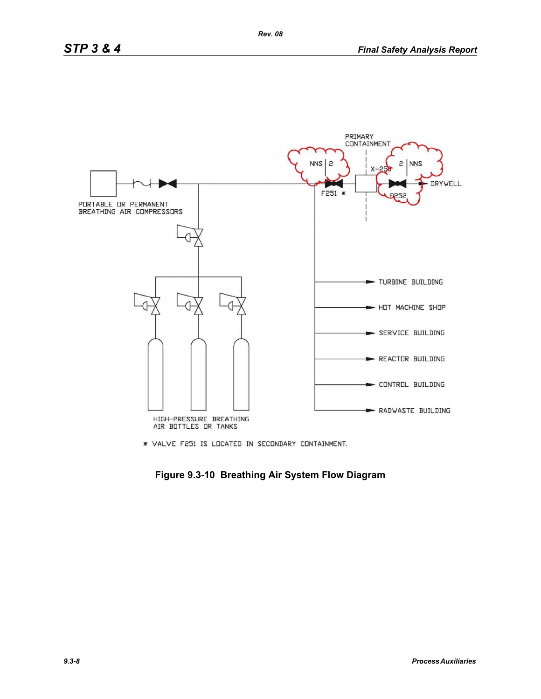

\* VALVE F251 IS LOCATED IN SECONDARY CONTAINMENT.

**Figure 9.3-10 Breathing Air System Flow Diagram**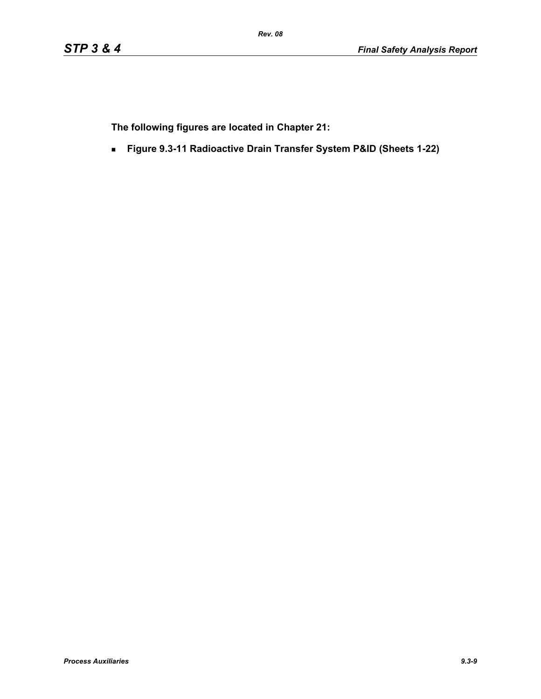**The following figures are located in Chapter 21:**

**Figure 9.3-11 Radioactive Drain Transfer System P&ID (Sheets 1-22)**